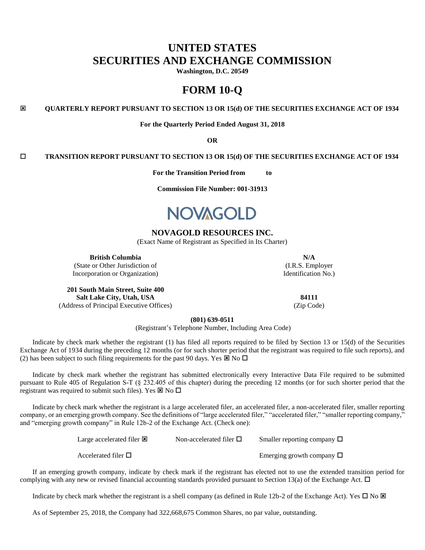# **UNITED STATES SECURITIES AND EXCHANGE COMMISSION**

**Washington, D.C. 20549**

# **FORM 10-Q**

**QUARTERLY REPORT PURSUANT TO SECTION 13 OR 15(d) OF THE SECURITIES EXCHANGE ACT OF 1934**

**For the Quarterly Period Ended August 31, 2018**

**OR**

### **TRANSITION REPORT PURSUANT TO SECTION 13 OR 15(d) OF THE SECURITIES EXCHANGE ACT OF 1934**

**For the Transition Period from to**

**Commission File Number: 001-31913**



# **NOVAGOLD RESOURCES INC.**

(Exact Name of Registrant as Specified in Its Charter)

**British Columbia N/A**

(State or Other Jurisdiction of Incorporation or Organization)

**201 South Main Street, Suite 400 Salt Lake City, Utah, USA 84111** (Address of Principal Executive Offices) (Zip Code)

(I.R.S. Employer Identification No.)

**(801) 639-0511**

(Registrant's Telephone Number, Including Area Code)

Indicate by check mark whether the registrant (1) has filed all reports required to be filed by Section 13 or 15(d) of the Securities Exchange Act of 1934 during the preceding 12 months (or for such shorter period that the registrant was required to file such reports), and (2) has been subject to such filing requirements for the past 90 days. Yes  $\boxtimes$  No  $\square$ 

Indicate by check mark whether the registrant has submitted electronically every Interactive Data File required to be submitted pursuant to Rule 405 of Regulation S-T (§ 232.405 of this chapter) during the preceding 12 months (or for such shorter period that the registrant was required to submit such files). Yes  $\boxtimes$  No  $\square$ 

Indicate by check mark whether the registrant is a large accelerated filer, an accelerated filer, a non-accelerated filer, smaller reporting company, or an emerging growth company. See the definitions of "large accelerated filer," "accelerated filer," "smaller reporting company," and "emerging growth company" in Rule 12b-2 of the Exchange Act. (Check one):

> Large accelerated filer  $\boxtimes$ Accelerated filer  $\Box$ Non-accelerated filer  $\square$  Smaller reporting company  $\square$ Emerging growth company  $\Box$

If an emerging growth company, indicate by check mark if the registrant has elected not to use the extended transition period for complying with any new or revised financial accounting standards provided pursuant to Section 13(a) of the Exchange Act.  $\Box$ 

Indicate by check mark whether the registrant is a shell company (as defined in Rule 12b-2 of the Exchange Act). Yes  $\Box$  No  $\boxtimes$ 

As of September 25, 2018, the Company had 322,668,675 Common Shares, no par value, outstanding.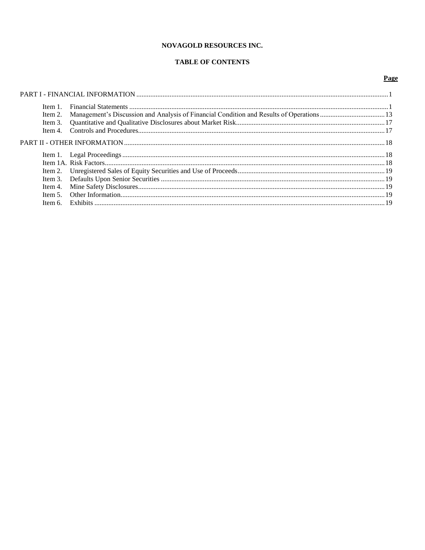# NOVAGOLD RESOURCES INC.

# **TABLE OF CONTENTS**

# Page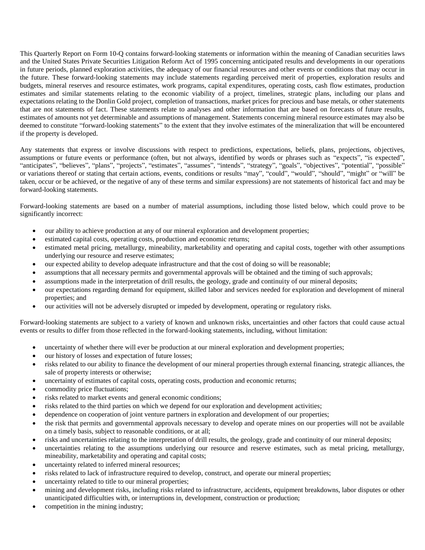This Quarterly Report on Form 10-Q contains forward-looking statements or information within the meaning of Canadian securities laws and the United States Private Securities Litigation Reform Act of 1995 concerning anticipated results and developments in our operations in future periods, planned exploration activities, the adequacy of our financial resources and other events or conditions that may occur in the future. These forward-looking statements may include statements regarding perceived merit of properties, exploration results and budgets, mineral reserves and resource estimates, work programs, capital expenditures, operating costs, cash flow estimates, production estimates and similar statements relating to the economic viability of a project, timelines, strategic plans, including our plans and expectations relating to the Donlin Gold project, completion of transactions, market prices for precious and base metals, or other statements that are not statements of fact. These statements relate to analyses and other information that are based on forecasts of future results, estimates of amounts not yet determinable and assumptions of management. Statements concerning mineral resource estimates may also be deemed to constitute "forward-looking statements" to the extent that they involve estimates of the mineralization that will be encountered if the property is developed.

Any statements that express or involve discussions with respect to predictions, expectations, beliefs, plans, projections, objectives, assumptions or future events or performance (often, but not always, identified by words or phrases such as "expects", "is expected", "anticipates", "believes", "plans", "projects", "estimates", "assumes", "intends", "strategy", "goals", "objectives", "potential", "possible" or variations thereof or stating that certain actions, events, conditions or results "may", "could", "would", "should", "might" or "will" be taken, occur or be achieved, or the negative of any of these terms and similar expressions) are not statements of historical fact and may be forward-looking statements.

Forward-looking statements are based on a number of material assumptions, including those listed below, which could prove to be significantly incorrect:

- our ability to achieve production at any of our mineral exploration and development properties;
- estimated capital costs, operating costs, production and economic returns;
- estimated metal pricing, metallurgy, mineability, marketability and operating and capital costs, together with other assumptions underlying our resource and reserve estimates;
- our expected ability to develop adequate infrastructure and that the cost of doing so will be reasonable;
- assumptions that all necessary permits and governmental approvals will be obtained and the timing of such approvals;
- assumptions made in the interpretation of drill results, the geology, grade and continuity of our mineral deposits;
- our expectations regarding demand for equipment, skilled labor and services needed for exploration and development of mineral properties; and
- our activities will not be adversely disrupted or impeded by development, operating or regulatory risks.

Forward-looking statements are subject to a variety of known and unknown risks, uncertainties and other factors that could cause actual events or results to differ from those reflected in the forward-looking statements, including, without limitation:

- uncertainty of whether there will ever be production at our mineral exploration and development properties;
- our history of losses and expectation of future losses;
- risks related to our ability to finance the development of our mineral properties through external financing, strategic alliances, the sale of property interests or otherwise;
- uncertainty of estimates of capital costs, operating costs, production and economic returns;
- commodity price fluctuations;
- risks related to market events and general economic conditions;
- risks related to the third parties on which we depend for our exploration and development activities;
- dependence on cooperation of joint venture partners in exploration and development of our properties;
- the risk that permits and governmental approvals necessary to develop and operate mines on our properties will not be available on a timely basis, subject to reasonable conditions, or at all;
- risks and uncertainties relating to the interpretation of drill results, the geology, grade and continuity of our mineral deposits;
- uncertainties relating to the assumptions underlying our resource and reserve estimates, such as metal pricing, metallurgy, mineability, marketability and operating and capital costs;
- uncertainty related to inferred mineral resources;
- risks related to lack of infrastructure required to develop, construct, and operate our mineral properties;
- uncertainty related to title to our mineral properties;
- mining and development risks, including risks related to infrastructure, accidents, equipment breakdowns, labor disputes or other unanticipated difficulties with, or interruptions in, development, construction or production;
- competition in the mining industry;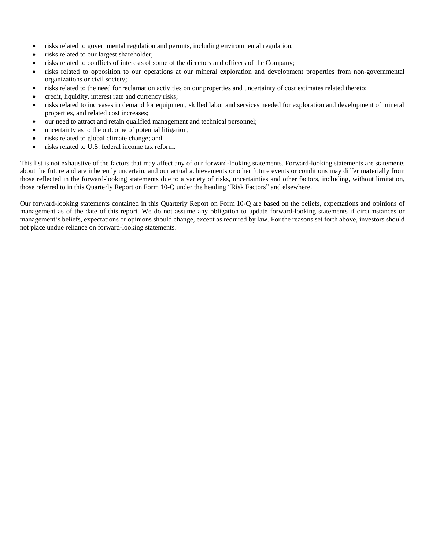- risks related to governmental regulation and permits, including environmental regulation;
- risks related to our largest shareholder;
- risks related to conflicts of interests of some of the directors and officers of the Company;
- risks related to opposition to our operations at our mineral exploration and development properties from non-governmental organizations or civil society;
- risks related to the need for reclamation activities on our properties and uncertainty of cost estimates related thereto;
- credit, liquidity, interest rate and currency risks;
- risks related to increases in demand for equipment, skilled labor and services needed for exploration and development of mineral properties, and related cost increases;
- our need to attract and retain qualified management and technical personnel;
- uncertainty as to the outcome of potential litigation;
- risks related to global climate change; and
- risks related to U.S. federal income tax reform.

This list is not exhaustive of the factors that may affect any of our forward-looking statements. Forward-looking statements are statements about the future and are inherently uncertain, and our actual achievements or other future events or conditions may differ materially from those reflected in the forward-looking statements due to a variety of risks, uncertainties and other factors, including, without limitation, those referred to in this Quarterly Report on Form 10-Q under the heading "Risk Factors" and elsewhere.

Our forward-looking statements contained in this Quarterly Report on Form 10-Q are based on the beliefs, expectations and opinions of management as of the date of this report. We do not assume any obligation to update forward-looking statements if circumstances or management's beliefs, expectations or opinions should change, except as required by law. For the reasons set forth above, investors should not place undue reliance on forward-looking statements.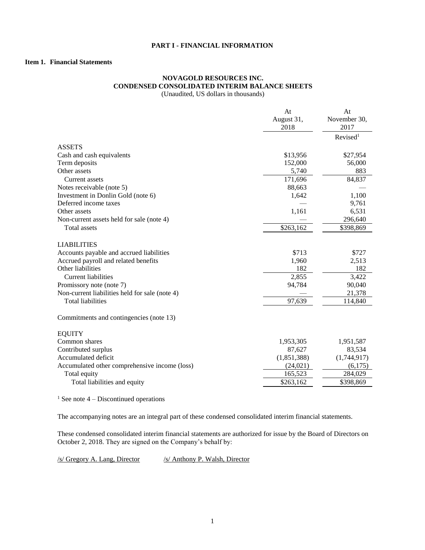# <span id="page-4-0"></span>**PART I - FINANCIAL INFORMATION**

# <span id="page-4-1"></span>**Item 1. Financial Statements**

### **NOVAGOLD RESOURCES INC. CONDENSED CONSOLIDATED INTERIM BALANCE SHEETS** (Unaudited, US dollars in thousands)

|                                                | At<br>August 31, | At<br>November 30,   |
|------------------------------------------------|------------------|----------------------|
|                                                | 2018             | 2017                 |
|                                                |                  | Revised <sup>1</sup> |
| <b>ASSETS</b>                                  |                  |                      |
| Cash and cash equivalents                      | \$13,956         | \$27,954             |
| Term deposits                                  | 152,000          | 56,000               |
| Other assets                                   | 5,740            | 883                  |
| <b>Current assets</b>                          | 171,696          | 84,837               |
| Notes receivable (note 5)                      | 88,663           |                      |
| Investment in Donlin Gold (note 6)             | 1,642            | 1,100                |
| Deferred income taxes                          |                  | 9,761                |
| Other assets                                   | 1,161            | 6,531                |
| Non-current assets held for sale (note 4)      |                  | 296,640              |
| <b>Total assets</b>                            | \$263,162        | \$398,869            |
|                                                |                  |                      |
| <b>LIABILITIES</b>                             |                  |                      |
| Accounts payable and accrued liabilities       | \$713            | \$727                |
| Accrued payroll and related benefits           | 1,960            | 2,513                |
| Other liabilities                              | 182              | 182                  |
| <b>Current liabilities</b>                     | 2,855            | 3,422                |
| Promissory note (note 7)                       | 94,784           | 90,040               |
| Non-current liabilities held for sale (note 4) |                  | 21,378               |
| <b>Total liabilities</b>                       | 97,639           | 114,840              |
| Commitments and contingencies (note 13)        |                  |                      |
| <b>EQUITY</b>                                  |                  |                      |
| Common shares                                  | 1,953,305        | 1,951,587            |
| Contributed surplus                            | 87,627           | 83,534               |
| Accumulated deficit                            | (1,851,388)      | (1,744,917)          |
| Accumulated other comprehensive income (loss)  | (24,021)         | (6,175)              |
| Total equity                                   | 165,523          | 284,029              |
| Total liabilities and equity                   | \$263,162        | \$398,869            |
|                                                |                  |                      |

<sup>1</sup> See note  $4$  – Discontinued operations

The accompanying notes are an integral part of these condensed consolidated interim financial statements.

These condensed consolidated interim financial statements are authorized for issue by the Board of Directors on October 2, 2018. They are signed on the Company's behalf by:

 $\frac{s}{\text{S}}$  Gregory A. Lang, Director  $\frac{s}{\text{S}}$  Anthony P. Walsh, Director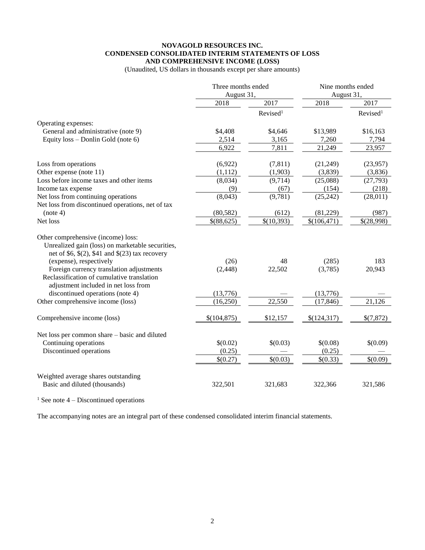### **NOVAGOLD RESOURCES INC. CONDENSED CONSOLIDATED INTERIM STATEMENTS OF LOSS AND COMPREHENSIVE INCOME (LOSS)**

(Unaudited, US dollars in thousands except per share amounts)

|                                                                                                                                               | Three months ended<br>August 31, |                      | Nine months ended<br>August 31, |                      |
|-----------------------------------------------------------------------------------------------------------------------------------------------|----------------------------------|----------------------|---------------------------------|----------------------|
|                                                                                                                                               | 2018                             | 2017                 | 2018                            | 2017                 |
|                                                                                                                                               |                                  | Revised <sup>1</sup> |                                 | Revised <sup>1</sup> |
| Operating expenses:                                                                                                                           |                                  |                      |                                 |                      |
| General and administrative (note 9)                                                                                                           | \$4,408                          | \$4,646              | \$13,989                        | \$16,163             |
| Equity loss - Donlin Gold (note 6)                                                                                                            | 2,514                            | 3,165                | 7,260                           | 7,794                |
|                                                                                                                                               | 6,922                            | 7,811                | 21,249                          | 23,957               |
| Loss from operations                                                                                                                          | (6,922)                          | (7, 811)             | (21,249)                        | (23,957)             |
| Other expense (note 11)                                                                                                                       | (1,112)                          | (1,903)              | (3,839)                         | (3,836)              |
| Loss before income taxes and other items                                                                                                      | (8,034)                          | (9,714)              | (25,088)                        | (27, 793)            |
| Income tax expense                                                                                                                            | (9)                              | (67)                 | (154)                           | (218)                |
| Net loss from continuing operations<br>Net loss from discontinued operations, net of tax                                                      | (8,043)                          | (9,781)              | (25, 242)                       | (28,011)             |
| (note 4)                                                                                                                                      | (80, 582)                        | (612)                | (81,229)                        | (987)                |
| Net loss                                                                                                                                      | \$(88,625)                       | \$(10,393)           | \$(106,471)                     | \$(28,998)           |
| Other comprehensive (income) loss:<br>Unrealized gain (loss) on marketable securities,<br>net of \$6, $\$(2), \$41$ and $\$(23)$ tax recovery |                                  |                      |                                 |                      |
| (expense), respectively                                                                                                                       | (26)                             | 48                   | (285)                           | 183                  |
| Foreign currency translation adjustments<br>Reclassification of cumulative translation<br>adjustment included in net loss from                | (2, 448)                         | 22,502               | (3,785)                         | 20,943               |
| discontinued operations (note 4)                                                                                                              | (13,776)                         |                      | (13,776)                        |                      |
| Other comprehensive income (loss)                                                                                                             | (16,250)                         | 22,550               | (17, 846)                       | 21,126               |
| Comprehensive income (loss)                                                                                                                   | \$(104, 875)                     | \$12,157             | \$(124,317)                     | \$(7,872)            |
| Net loss per common share – basic and diluted                                                                                                 |                                  |                      |                                 |                      |
| Continuing operations                                                                                                                         | \$(0.02)                         | \$(0.03)             | \$(0.08)                        | \$(0.09)             |
| Discontinued operations                                                                                                                       | (0.25)                           |                      | (0.25)                          |                      |
|                                                                                                                                               | \$(0.27)                         | \$(0.03)             | \$(0.33)                        | \$(0.09)             |
| Weighted average shares outstanding<br>Basic and diluted (thousands)                                                                          | 322,501                          | 321,683              | 322,366                         | 321,586              |

<sup>1</sup> See note  $4$  – Discontinued operations

The accompanying notes are an integral part of these condensed consolidated interim financial statements.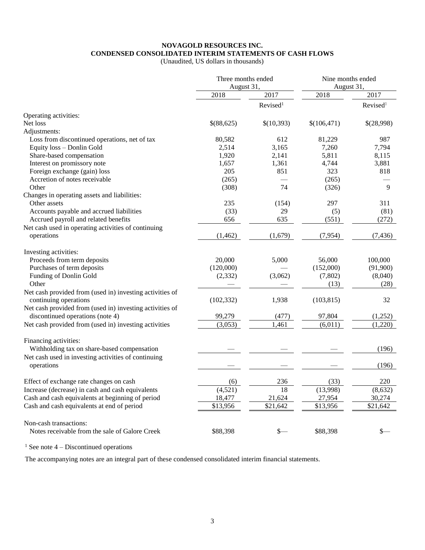### **NOVAGOLD RESOURCES INC. CONDENSED CONSOLIDATED INTERIM STATEMENTS OF CASH FLOWS**

(Unaudited, US dollars in thousands)

|                                                          | Three months ended<br>August 31, |                      | Nine months ended<br>August 31, |                      |  |
|----------------------------------------------------------|----------------------------------|----------------------|---------------------------------|----------------------|--|
|                                                          | 2018<br>2017                     |                      | 2018                            | 2017                 |  |
|                                                          |                                  | Revised <sup>1</sup> |                                 | Revised <sup>1</sup> |  |
| Operating activities:                                    |                                  |                      |                                 |                      |  |
| Net loss                                                 | \$(88,625)                       | \$(10,393)           | \$(106,471)                     | \$(28,998)           |  |
| Adjustments:                                             |                                  |                      |                                 |                      |  |
| Loss from discontinued operations, net of tax            | 80,582                           | 612                  | 81,229                          | 987                  |  |
| Equity loss - Donlin Gold                                | 2,514                            | 3,165                | 7,260                           | 7,794                |  |
| Share-based compensation                                 | 1,920                            | 2,141                | 5,811                           | 8,115                |  |
|                                                          |                                  |                      |                                 | 3,881                |  |
| Interest on promissory note                              | 1,657                            | 1,361                | 4,744                           |                      |  |
| Foreign exchange (gain) loss                             | 205                              | 851                  | 323                             | 818                  |  |
| Accretion of notes receivable                            | (265)                            |                      | (265)                           |                      |  |
| Other                                                    | (308)                            | 74                   | (326)                           | 9                    |  |
| Changes in operating assets and liabilities:             |                                  |                      |                                 |                      |  |
| Other assets                                             | 235                              | (154)                | 297                             | 311                  |  |
| Accounts payable and accrued liabilities                 | (33)                             | 29                   | (5)                             | (81)                 |  |
| Accrued payroll and related benefits                     | 656                              | 635                  | (551)                           | (272)                |  |
| Net cash used in operating activities of continuing      |                                  |                      |                                 |                      |  |
| operations                                               | (1, 462)                         | (1,679)              | (7, 954)                        | (7, 436)             |  |
| Investing activities:                                    |                                  |                      |                                 |                      |  |
| Proceeds from term deposits                              | 20,000                           | 5,000                | 56,000                          | 100,000              |  |
| Purchases of term deposits                               | (120,000)                        |                      | (152,000)                       | (91,900)             |  |
| Funding of Donlin Gold                                   | (2, 332)                         | (3,062)              | (7, 802)                        | (8,040)              |  |
| Other                                                    |                                  |                      | (13)                            | (28)                 |  |
| Net cash provided from (used in) investing activities of |                                  |                      |                                 |                      |  |
| continuing operations                                    | (102, 332)                       | 1,938                | (103, 815)                      | 32                   |  |
| Net cash provided from (used in) investing activities of |                                  |                      |                                 |                      |  |
| discontinued operations (note 4)                         | 99,279                           | (477)                | 97,804                          | (1,252)              |  |
| Net cash provided from (used in) investing activities    | (3,053)                          | 1,461                | (6,011)                         | (1,220)              |  |
|                                                          |                                  |                      |                                 |                      |  |
| Financing activities:                                    |                                  |                      |                                 |                      |  |
| Withholding tax on share-based compensation              |                                  |                      |                                 | (196)                |  |
| Net cash used in investing activities of continuing      |                                  |                      |                                 |                      |  |
| operations                                               |                                  |                      |                                 | (196)                |  |
| Effect of exchange rate changes on cash                  | (6)                              | 236                  | (33)                            | 220                  |  |
| Increase (decrease) in cash and cash equivalents         | (4,521)                          | $\overline{18}$      | (13,998)                        | (8,632)              |  |
| Cash and cash equivalents at beginning of period         | 18,477                           | 21,624               | 27,954                          | 30,274               |  |
| Cash and cash equivalents at end of period               | \$13,956                         | \$21,642             | \$13,956                        | \$21,642             |  |
|                                                          |                                  |                      |                                 |                      |  |
| Non-cash transactions:                                   |                                  |                      |                                 |                      |  |
| Notes receivable from the sale of Galore Creek           | \$88,398                         | \$—                  | \$88,398                        | \$—                  |  |

<sup>1</sup> See note  $4$  – Discontinued operations

The accompanying notes are an integral part of these condensed consolidated interim financial statements.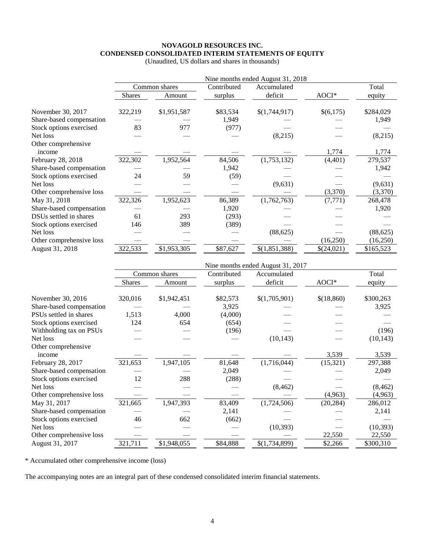# **NOVAGOLD RESOURCES INC. CONDENSED CONSOLIDATED INTERIM STATEMENTS OF EQUITY**

|                               |               |               |             | Nine months ended August 31, 2018 |            |           |
|-------------------------------|---------------|---------------|-------------|-----------------------------------|------------|-----------|
|                               |               | Common shares | Contributed | Accumulated                       |            | Total     |
|                               | <b>Shares</b> | Amount        | surplus     | deficit                           | AOCI*      | equity    |
| November 30, 2017             | 322,219       | \$1,951,587   | \$83,534    | \$(1,744,917)                     | \$(6,175)  | \$284,029 |
| Share-based compensation      |               |               | 1,949       |                                   |            | 1,949     |
| Stock options exercised       | 83            | 977           | (977)       |                                   |            |           |
| Net loss                      |               |               |             | (8,215)                           |            | (8,215)   |
| Other comprehensive<br>income |               |               |             |                                   | 1,774      | 1,774     |
| February 28, 2018             | 322,302       | 1,952,564     | 84,506      | (1,753,132)                       | (4, 401)   | 279,537   |
| Share-based compensation      |               |               | 1,942       |                                   |            | 1,942     |
| Stock options exercised       | 24            | 59            | (59)        |                                   |            |           |
| Net loss                      |               |               |             | (9,631)                           |            | (9,631)   |
| Other comprehensive loss      |               |               |             |                                   | (3,370)    | (3,370)   |
| May 31, 2018                  | 322,326       | 1,952,623     | 86,389      | (1,762,763)                       | (7, 771)   | 268,478   |
| Share-based compensation      |               |               | 1,920       |                                   |            | 1,920     |
| DSUs settled in shares        | 61            | 293           | (293)       |                                   |            |           |
| Stock options exercised       | 146           | 389           | (389)       |                                   |            |           |
| Net loss                      |               |               |             | (88, 625)                         |            | (88, 625) |
| Other comprehensive loss      |               |               |             |                                   | (16,250)   | (16,250)  |
| August 31, 2018               | 322,533       | \$1,953,305   | \$87,627    | \$(1,851,388)                     | \$(24,021) | \$165,523 |
|                               |               |               |             | Nine months ended August 31, 2017 |            |           |
|                               |               | Common shares | Contributed | Accumulated                       |            | Total     |
|                               | <b>Shares</b> | Amount        | surplus     | deficit                           | AOCI*      | equity    |
| November 30, 2016             | 320,016       | \$1,942,451   | \$82,573    | \$(1,705,901)                     | \$(18,860) | \$300,263 |
| Share-based compensation      |               |               | 3,925       |                                   |            | 3,925     |
| PSUs settled in shares        | 1,513         | 4,000         | (4,000)     |                                   |            |           |
| Stock options exercised       | 124           | 654           | (654)       |                                   |            |           |
| Withholding tax on PSUs       |               |               | (196)       |                                   |            | (196)     |
| Net loss                      |               |               |             | (10, 143)                         |            | (10, 143) |
| Other comprehensive<br>income |               |               |             |                                   | 3,539      | 3,539     |
| February 28, 2017             | 321,653       | 1,947,105     | 81,648      | (1,716,044)                       | (15, 321)  | 297,388   |
| Share-based compensation      |               |               | 2,049       |                                   |            | 2,049     |
| Stock options exercised       | 12            | 288           | (288)       |                                   |            |           |
| Net loss                      |               |               |             | (8, 462)                          |            | (8, 462)  |
| Other comprehensive loss      |               |               |             |                                   | (4,963)    | (4,963)   |
| May 31, 2017                  | 321,665       | 1,947,393     | 83,409      | (1,724,506)                       | (20, 284)  | 286,012   |
| Share-based compensation      |               |               | 2,141       |                                   |            | 2,141     |
| Stock options exercised       | 46            | 662           | (662)       |                                   |            |           |
| Net loss                      |               |               |             | (10, 393)                         |            | (10, 393) |
| Other comprehensive loss      |               |               |             |                                   | 22,550     | 22,550    |
| August 31, 2017               | 321,711       | \$1,948,055   | \$84,888    | \$(1,734,899)                     | \$2,266    | \$300,310 |

(Unaudited, US dollars and shares in thousands)

\* Accumulated other comprehensive income (loss)

The accompanying notes are an integral part of these condensed consolidated interim financial statements.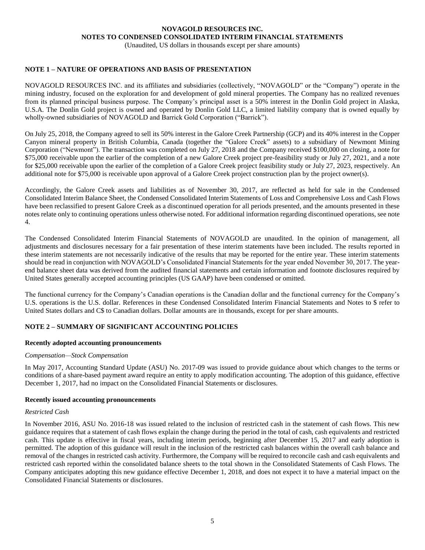(Unaudited, US dollars in thousands except per share amounts)

# **NOTE 1 – NATURE OF OPERATIONS AND BASIS OF PRESENTATION**

NOVAGOLD RESOURCES INC. and its affiliates and subsidiaries (collectively, "NOVAGOLD" or the "Company") operate in the mining industry, focused on the exploration for and development of gold mineral properties. The Company has no realized revenues from its planned principal business purpose. The Company's principal asset is a 50% interest in the Donlin Gold project in Alaska, U.S.A. The Donlin Gold project is owned and operated by Donlin Gold LLC, a limited liability company that is owned equally by wholly-owned subsidiaries of NOVAGOLD and Barrick Gold Corporation ("Barrick").

On July 25, 2018, the Company agreed to sell its 50% interest in the Galore Creek Partnership (GCP) and its 40% interest in the Copper Canyon mineral property in British Columbia, Canada (together the "Galore Creek" assets) to a subsidiary of Newmont Mining Corporation ("Newmont"). The transaction was completed on July 27, 2018 and the Company received \$100,000 on closing, a note for \$75,000 receivable upon the earlier of the completion of a new Galore Creek project pre-feasibility study or July 27, 2021, and a note for \$25,000 receivable upon the earlier of the completion of a Galore Creek project feasibility study or July 27, 2023, respectively. An additional note for \$75,000 is receivable upon approval of a Galore Creek project construction plan by the project owner(s).

Accordingly, the Galore Creek assets and liabilities as of November 30, 2017, are reflected as held for sale in the Condensed Consolidated Interim Balance Sheet, the Condensed Consolidated Interim Statements of Loss and Comprehensive Loss and Cash Flows have been reclassified to present Galore Creek as a discontinued operation for all periods presented, and the amounts presented in these notes relate only to continuing operations unless otherwise noted. For additional information regarding discontinued operations, see note 4.

The Condensed Consolidated Interim Financial Statements of NOVAGOLD are unaudited. In the opinion of management, all adjustments and disclosures necessary for a fair presentation of these interim statements have been included. The results reported in these interim statements are not necessarily indicative of the results that may be reported for the entire year. These interim statements should be read in conjunction with NOVAGOLD's Consolidated Financial Statements for the year ended November 30, 2017. The yearend balance sheet data was derived from the audited financial statements and certain information and footnote disclosures required by United States generally accepted accounting principles (US GAAP) have been condensed or omitted.

The functional currency for the Company's Canadian operations is the Canadian dollar and the functional currency for the Company's U.S. operations is the U.S. dollar. References in these Condensed Consolidated Interim Financial Statements and Notes to \$ refer to United States dollars and C\$ to Canadian dollars. Dollar amounts are in thousands, except for per share amounts.

# **NOTE 2 – SUMMARY OF SIGNIFICANT ACCOUNTING POLICIES**

#### **Recently adopted accounting pronouncements**

#### *Compensation—Stock Compensation*

In May 2017, Accounting Standard Update (ASU) No. 2017-09 was issued to provide guidance about which changes to the terms or conditions of a share-based payment award require an entity to apply modification accounting. The adoption of this guidance, effective December 1, 2017, had no impact on the Consolidated Financial Statements or disclosures.

#### **Recently issued accounting pronouncements**

#### *Restricted Cash*

In November 2016, ASU No. 2016-18 was issued related to the inclusion of restricted cash in the statement of cash flows. This new guidance requires that a statement of cash flows explain the change during the period in the total of cash, cash equivalents and restricted cash. This update is effective in fiscal years, including interim periods, beginning after December 15, 2017 and early adoption is permitted. The adoption of this guidance will result in the inclusion of the restricted cash balances within the overall cash balance and removal of the changes in restricted cash activity. Furthermore, the Company will be required to reconcile cash and cash equivalents and restricted cash reported within the consolidated balance sheets to the total shown in the Consolidated Statements of Cash Flows. The Company anticipates adopting this new guidance effective December 1, 2018, and does not expect it to have a material impact on the Consolidated Financial Statements or disclosures.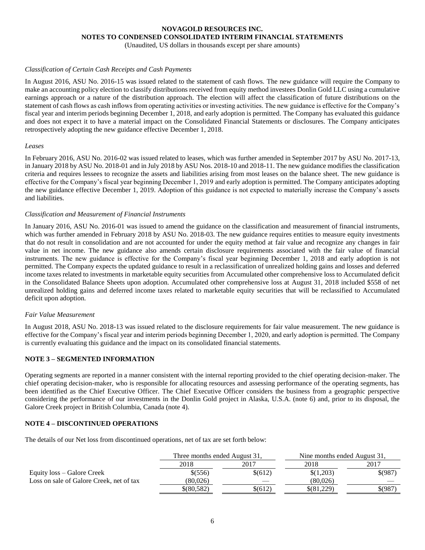(Unaudited, US dollars in thousands except per share amounts)

### *Classification of Certain Cash Receipts and Cash Payments*

In August 2016, ASU No. 2016-15 was issued related to the statement of cash flows. The new guidance will require the Company to make an accounting policy election to classify distributions received from equity method investees Donlin Gold LLC using a cumulative earnings approach or a nature of the distribution approach. The election will affect the classification of future distributions on the statement of cash flows as cash inflows from operating activities or investing activities. The new guidance is effective for the Company's fiscal year and interim periods beginning December 1, 2018, and early adoption is permitted. The Company has evaluated this guidance and does not expect it to have a material impact on the Consolidated Financial Statements or disclosures. The Company anticipates retrospectively adopting the new guidance effective December 1, 2018.

#### *Leases*

In February 2016, ASU No. 2016-02 was issued related to leases, which was further amended in September 2017 by ASU No. 2017-13, in January 2018 by ASU No. 2018-01 and in July 2018 by ASU Nos. 2018-10 and 2018-11. The new guidance modifies the classification criteria and requires lessees to recognize the assets and liabilities arising from most leases on the balance sheet. The new guidance is effective for the Company's fiscal year beginning December 1, 2019 and early adoption is permitted. The Company anticipates adopting the new guidance effective December 1, 2019. Adoption of this guidance is not expected to materially increase the Company's assets and liabilities.

### *Classification and Measurement of Financial Instruments*

In January 2016, ASU No. 2016-01 was issued to amend the guidance on the classification and measurement of financial instruments, which was further amended in February 2018 by ASU No. 2018-03. The new guidance requires entities to measure equity investments that do not result in consolidation and are not accounted for under the equity method at fair value and recognize any changes in fair value in net income. The new guidance also amends certain disclosure requirements associated with the fair value of financial instruments. The new guidance is effective for the Company's fiscal year beginning December 1, 2018 and early adoption is not permitted. The Company expects the updated guidance to result in a reclassification of unrealized holding gains and losses and deferred income taxes related to investments in marketable equity securities from Accumulated other comprehensive loss to Accumulated deficit in the Consolidated Balance Sheets upon adoption. Accumulated other comprehensive loss at August 31, 2018 included \$558 of net unrealized holding gains and deferred income taxes related to marketable equity securities that will be reclassified to Accumulated deficit upon adoption.

#### *Fair Value Measurement*

In August 2018, ASU No. 2018-13 was issued related to the disclosure requirements for fair value measurement. The new guidance is effective for the Company's fiscal year and interim periods beginning December 1, 2020, and early adoption is permitted. The Company is currently evaluating this guidance and the impact on its consolidated financial statements.

# **NOTE 3 – SEGMENTED INFORMATION**

Operating segments are reported in a manner consistent with the internal reporting provided to the chief operating decision-maker. The chief operating decision-maker, who is responsible for allocating resources and assessing performance of the operating segments, has been identified as the Chief Executive Officer. The Chief Executive Officer considers the business from a geographic perspective considering the performance of our investments in the Donlin Gold project in Alaska, U.S.A. (note 6) and, prior to its disposal, the Galore Creek project in British Columbia, Canada (note 4).

## **NOTE 4 – DISCONTINUED OPERATIONS**

The details of our Net loss from discontinued operations, net of tax are set forth below:

|                                          | Three months ended August 31, |         | Nine months ended August 31, |         |
|------------------------------------------|-------------------------------|---------|------------------------------|---------|
|                                          | 2018                          | 2017    | 2018                         | 2017    |
| Equity loss – Galore Creek               | \$ (556)                      | \$(612) | \$(1,203)                    | \$(987) |
| Loss on sale of Galore Creek, net of tax | (80.026)                      |         | (80.026)                     |         |
|                                          | $$^{(80,582)}$$               | \$(612) | \$ (81.229)                  | 5(987)  |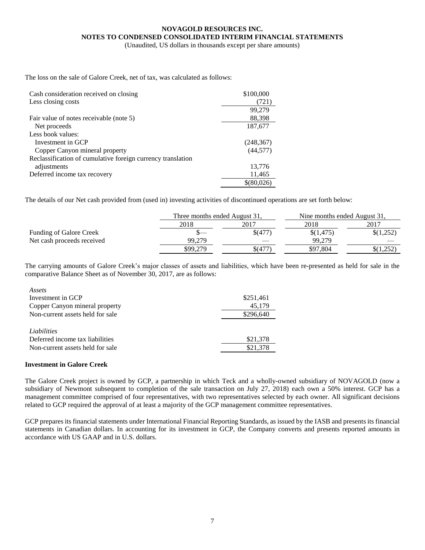(Unaudited, US dollars in thousands except per share amounts)

The loss on the sale of Galore Creek, net of tax, was calculated as follows:

| Cash consideration received on closing                      | \$100,000  |
|-------------------------------------------------------------|------------|
| Less closing costs                                          | 721)       |
|                                                             | 99,279     |
| Fair value of notes receivable (note 5)                     | 88,398     |
| Net proceeds                                                | 187,677    |
| Less book values:                                           |            |
| Investment in GCP                                           | (248, 367) |
| Copper Canyon mineral property                              | (44, 577)  |
| Reclassification of cumulative foreign currency translation |            |
| adjustments                                                 | 13,776     |
| Deferred income tax recovery                                | 11,465     |
|                                                             | \$(80,026) |

The details of our Net cash provided from (used in) investing activities of discontinued operations are set forth below:

|                                |          | Three months ended August 31, |           | Nine months ended August 31, |  |  |
|--------------------------------|----------|-------------------------------|-----------|------------------------------|--|--|
|                                | 2018     | 2017                          | 2018      | 2017                         |  |  |
| <b>Funding of Galore Creek</b> |          | \$(477)                       | \$(1,475) | \$(1,252)                    |  |  |
| Net cash proceeds received     | 99.279   |                               | 99.279    |                              |  |  |
|                                | \$99,279 | $\frac{1}{2}(477)$            | \$97,804  | \$(1,252)                    |  |  |

The carrying amounts of Galore Creek's major classes of assets and liabilities, which have been re-presented as held for sale in the comparative Balance Sheet as of November 30, 2017, are as follows:

| Assets                           |           |
|----------------------------------|-----------|
| Investment in GCP                | \$251,461 |
| Copper Canyon mineral property   | 45,179    |
| Non-current assets held for sale | \$296,640 |
|                                  |           |
| Liabilities                      |           |
| Deferred income tax liabilities  | \$21,378  |
| Non-current assets held for sale | \$21,378  |
|                                  |           |

#### **Investment in Galore Creek**

The Galore Creek project is owned by GCP, a partnership in which Teck and a wholly-owned subsidiary of NOVAGOLD (now a subsidiary of Newmont subsequent to completion of the sale transaction on July 27, 2018) each own a 50% interest. GCP has a management committee comprised of four representatives, with two representatives selected by each owner. All significant decisions related to GCP required the approval of at least a majority of the GCP management committee representatives.

GCP prepares its financial statements under International Financial Reporting Standards, as issued by the IASB and presents its financial statements in Canadian dollars. In accounting for its investment in GCP, the Company converts and presents reported amounts in accordance with US GAAP and in U.S. dollars.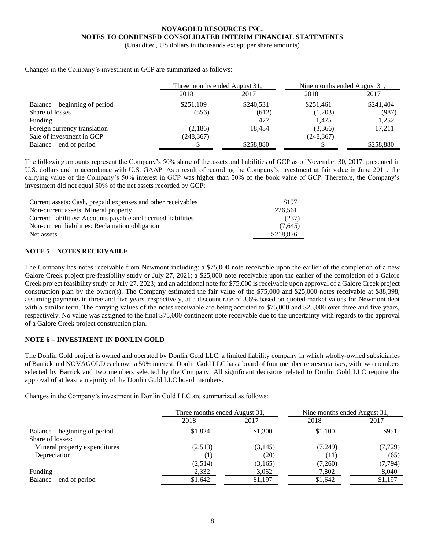(Unaudited, US dollars in thousands except per share amounts)

Changes in the Company's investment in GCP are summarized as follows:

|                               | Three months ended August 31, |           | Nine months ended August 31, |           |
|-------------------------------|-------------------------------|-----------|------------------------------|-----------|
|                               | 2018                          | 2017      | 2018                         | 2017      |
| Balance – beginning of period | \$251,109                     | \$240,531 | \$251,461                    | \$241,404 |
| Share of losses               | (556)                         | (612)     | (1,203)                      | (987)     |
| Funding                       |                               | 477       | 1.475                        | 1,252     |
| Foreign currency translation  | (2,186)                       | 18.484    | (3,366)                      | 17,211    |
| Sale of investment in GCP     | (248,367)                     |           | (248, 367)                   |           |
| Balance – end of period       |                               | \$258,880 |                              | \$258,880 |

The following amounts represent the Company's 50% share of the assets and liabilities of GCP as of November 30, 2017, presented in U.S. dollars and in accordance with U.S. GAAP. As a result of recording the Company's investment at fair value in June 2011, the carrying value of the Company's 50% interest in GCP was higher than 50% of the book value of GCP. Therefore, the Company's investment did not equal 50% of the net assets recorded by GCP:

| Current assets: Cash, prepaid expenses and other receivables  | \$197     |
|---------------------------------------------------------------|-----------|
| Non-current assets: Mineral property                          | 226,561   |
| Current liabilities: Accounts payable and accrued liabilities | (237)     |
| Non-current liabilities: Reclamation obligation               | (7.645)   |
| Net assets                                                    | \$218,876 |

## **NOTE 5 – NOTES RECEIVABLE**

The Company has notes receivable from Newmont including: a \$75,000 note receivable upon the earlier of the completion of a new Galore Creek project pre-feasibility study or July 27, 2021; a \$25,000 note receivable upon the earlier of the completion of a Galore Creek project feasibility study or July 27, 2023; and an additional note for \$75,000 is receivable upon approval of a Galore Creek project construction plan by the owner(s). The Company estimated the fair value of the \$75,000 and \$25,000 notes receivable at \$88,398, assuming payments in three and five years, respectively, at a discount rate of 3.6% based on quoted market values for Newmont debt with a similar term. The carrying values of the notes receivable are being accreted to \$75,000 and \$25,000 over three and five years, respectively. No value was assigned to the final \$75,000 contingent note receivable due to the uncertainty with regards to the approval of a Galore Creek project construction plan.

# **NOTE 6 – INVESTMENT IN DONLIN GOLD**

The Donlin Gold project is owned and operated by Donlin Gold LLC, a limited liability company in which wholly-owned subsidiaries of Barrick and NOVAGOLD each own a 50% interest. Donlin Gold LLC has a board of four member representatives, with two members selected by Barrick and two members selected by the Company. All significant decisions related to Donlin Gold LLC require the approval of at least a majority of the Donlin Gold LLC board members.

Changes in the Company's investment in Donlin Gold LLC are summarized as follows:

|                               | Three months ended August 31, |         | Nine months ended August 31, |          |
|-------------------------------|-------------------------------|---------|------------------------------|----------|
|                               | 2018                          | 2017    | 2018                         | 2017     |
| Balance – beginning of period | \$1,824                       | \$1,300 | \$1,100                      | \$951    |
| Share of losses:              |                               |         |                              |          |
| Mineral property expenditures | (2,513)                       | (3,145) | (7,249)                      | (7, 729) |
| Depreciation                  |                               | (20)    | (11)                         | (65)     |
|                               | (2,514)                       | (3,165) | (7,260)                      | (7, 794) |
| Funding                       | 2,332                         | 3,062   | 7,802                        | 8,040    |
| Balance – end of period       | \$1,642                       | \$1,197 | \$1,642                      | \$1,197  |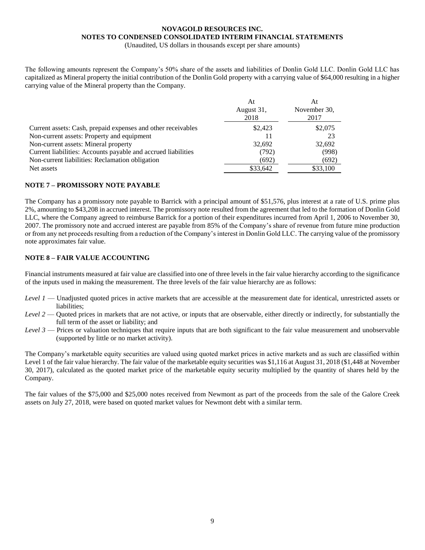(Unaudited, US dollars in thousands except per share amounts)

The following amounts represent the Company's 50% share of the assets and liabilities of Donlin Gold LLC. Donlin Gold LLC has capitalized as Mineral property the initial contribution of the Donlin Gold property with a carrying value of \$64,000 resulting in a higher carrying value of the Mineral property than the Company.

|                                                               | At<br>August 31,<br>2018 | At<br>November 30,<br>2017 |
|---------------------------------------------------------------|--------------------------|----------------------------|
| Current assets: Cash, prepaid expenses and other receivables  | \$2,423                  | \$2,075                    |
| Non-current assets: Property and equipment                    | 11                       | 23                         |
| Non-current assets: Mineral property                          | 32,692                   | 32,692                     |
| Current liabilities: Accounts payable and accrued liabilities | (792)                    | (998)                      |
| Non-current liabilities: Reclamation obligation               | (692)                    | (692)                      |
| Net assets                                                    | \$33,642                 | \$33,100                   |

# **NOTE 7 – PROMISSORY NOTE PAYABLE**

The Company has a promissory note payable to Barrick with a principal amount of \$51,576, plus interest at a rate of U.S. prime plus 2%, amounting to \$43,208 in accrued interest. The promissory note resulted from the agreement that led to the formation of Donlin Gold LLC, where the Company agreed to reimburse Barrick for a portion of their expenditures incurred from April 1, 2006 to November 30, 2007. The promissory note and accrued interest are payable from 85% of the Company's share of revenue from future mine production or from any net proceeds resulting from a reduction of the Company's interest in Donlin Gold LLC. The carrying value of the promissory note approximates fair value.

# **NOTE 8 – FAIR VALUE ACCOUNTING**

Financial instruments measured at fair value are classified into one of three levels in the fair value hierarchy according to the significance of the inputs used in making the measurement. The three levels of the fair value hierarchy are as follows:

- *Level 1* Unadjusted quoted prices in active markets that are accessible at the measurement date for identical, unrestricted assets or liabilities;
- *Level 2* Quoted prices in markets that are not active, or inputs that are observable, either directly or indirectly, for substantially the full term of the asset or liability; and
- *Level 3* Prices or valuation techniques that require inputs that are both significant to the fair value measurement and unobservable (supported by little or no market activity).

The Company's marketable equity securities are valued using quoted market prices in active markets and as such are classified within Level 1 of the fair value hierarchy. The fair value of the marketable equity securities was \$1,116 at August 31, 2018 (\$1,448 at November 30, 2017), calculated as the quoted market price of the marketable equity security multiplied by the quantity of shares held by the Company.

The fair values of the \$75,000 and \$25,000 notes received from Newmont as part of the proceeds from the sale of the Galore Creek assets on July 27, 2018, were based on quoted market values for Newmont debt with a similar term.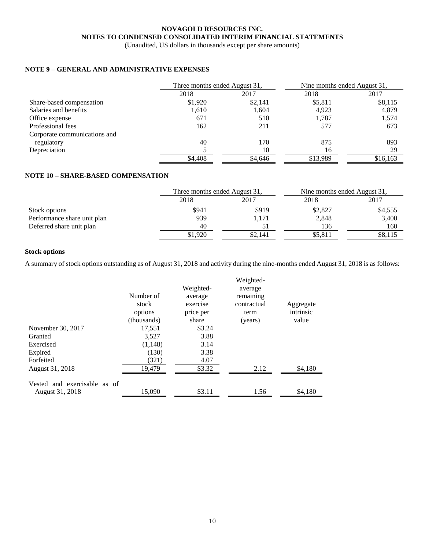(Unaudited, US dollars in thousands except per share amounts)

# **NOTE 9 – GENERAL AND ADMINISTRATIVE EXPENSES**

|                              | Three months ended August 31, |         | Nine months ended August 31, |          |
|------------------------------|-------------------------------|---------|------------------------------|----------|
|                              | 2018                          | 2017    | 2018                         | 2017     |
| Share-based compensation     | \$1,920                       | \$2,141 | \$5,811                      | \$8,115  |
| Salaries and benefits        | 1,610                         | 1.604   | 4,923                        | 4,879    |
| Office expense               | 671                           | 510     | 1.787                        | 1,574    |
| Professional fees            | 162                           | 211     | 577                          | 673      |
| Corporate communications and |                               |         |                              |          |
| regulatory                   | 40                            | 170     | 875                          | 893      |
| Depreciation                 |                               | 10      | 16                           | 29       |
|                              | \$4,408                       | \$4.646 | \$13,989                     | \$16,163 |

# **NOTE 10 – SHARE-BASED COMPENSATION**

|                             | Three months ended August 31, |         | Nine months ended August 31, |         |
|-----------------------------|-------------------------------|---------|------------------------------|---------|
|                             | 2018                          | 2017    | 2018                         | 2017    |
| Stock options               | \$941                         | \$919   | \$2,827                      | \$4,555 |
| Performance share unit plan | 939                           | 1.171   | 2,848                        | 3,400   |
| Deferred share unit plan    | 40                            |         | 136                          | 160     |
|                             | \$1,920                       | \$2.141 | \$5,811                      | \$8,115 |

# **Stock options**

A summary of stock options outstanding as of August 31, 2018 and activity during the nine-months ended August 31, 2018 is as follows:

|                                                 | Number of<br>stock<br>options | Weighted-<br>average<br>exercise<br>price per | Weighted-<br>average<br>remaining<br>contractual<br>term | Aggregate<br>intrinsic |
|-------------------------------------------------|-------------------------------|-----------------------------------------------|----------------------------------------------------------|------------------------|
|                                                 | (thousands)                   | share                                         | (years)                                                  | value                  |
| November 30, 2017                               | 17,551                        | \$3.24                                        |                                                          |                        |
| Granted                                         | 3.527                         | 3.88                                          |                                                          |                        |
| Exercised                                       | (1,148)                       | 3.14                                          |                                                          |                        |
| Expired                                         | (130)                         | 3.38                                          |                                                          |                        |
| Forfeited                                       | (321)                         | 4.07                                          |                                                          |                        |
| August 31, 2018                                 | 19,479                        | \$3.32                                        | 2.12                                                     | \$4,180                |
| Vested and exercisable as of<br>August 31, 2018 | 15,090                        | \$3.11                                        | 1.56                                                     | \$4,180                |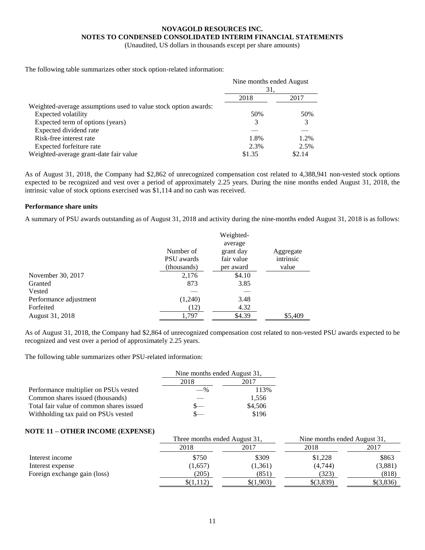(Unaudited, US dollars in thousands except per share amounts)

The following table summarizes other stock option-related information:

|                                                                 | Nine months ended August<br>31. |        |
|-----------------------------------------------------------------|---------------------------------|--------|
|                                                                 |                                 |        |
|                                                                 | 2018                            | 2017   |
| Weighted-average assumptions used to value stock option awards: |                                 |        |
| Expected volatility                                             | 50%                             | 50%    |
| Expected term of options (years)                                | 3                               | 3      |
| Expected dividend rate                                          |                                 |        |
| Risk-free interest rate                                         | 1.8%                            | 1.2%   |
| Expected forfeiture rate                                        | 2.3%                            | 2.5%   |
| Weighted-average grant-date fair value                          | \$1.35                          | \$2.14 |

As of August 31, 2018, the Company had \$2,862 of unrecognized compensation cost related to 4,388,941 non-vested stock options expected to be recognized and vest over a period of approximately 2.25 years. During the nine months ended August 31, 2018, the intrinsic value of stock options exercised was \$1,114 and no cash was received.

## **Performance share units**

A summary of PSU awards outstanding as of August 31, 2018 and activity during the nine-months ended August 31, 2018 is as follows:

|                        |             | Weighted-  |           |
|------------------------|-------------|------------|-----------|
|                        |             | average    |           |
|                        | Number of   | grant day  | Aggregate |
|                        | PSU awards  | fair value | intrinsic |
|                        | (thousands) | per award  | value     |
| November 30, 2017      | 2,176       | \$4.10     |           |
| Granted                | 873         | 3.85       |           |
| Vested                 |             |            |           |
| Performance adjustment | (1,240)     | 3.48       |           |
| Forfeited              | (12)        | 4.32       |           |
| August 31, 2018        | 1,797       | \$4.39     | \$5,409   |

As of August 31, 2018, the Company had \$2,864 of unrecognized compensation cost related to non-vested PSU awards expected to be recognized and vest over a period of approximately 2.25 years.

The following table summarizes other PSU-related information:

|                                          | Nine months ended August 31, |         |
|------------------------------------------|------------------------------|---------|
|                                          | 2018<br>2017                 |         |
| Performance multiplier on PSUs vested    | $-$ %                        | 113%    |
| Common shares issued (thousands)         |                              | 1,556   |
| Total fair value of common shares issued |                              | \$4,506 |
| Withholding tax paid on PSUs vested      |                              | \$196   |

## **NOTE 11 – OTHER INCOME (EXPENSE)**

|                              |           | Three months ended August 31, |           | Nine months ended August 31, |
|------------------------------|-----------|-------------------------------|-----------|------------------------------|
|                              | 2018      | 2017                          | 2018      | 2017                         |
| Interest income              | \$750     | \$309                         | \$1,228   | \$863                        |
| Interest expense             | (1,657)   | (1, 361)                      | (4,744)   | (3,881)                      |
| Foreign exchange gain (loss) | (205)     | (851)                         | (323)     | (818)                        |
|                              | \$(1,112) | \$(1,903)                     | \$(3,839) | \$(3,836)                    |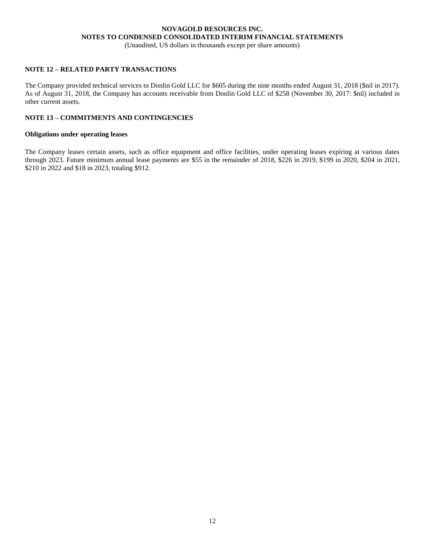(Unaudited, US dollars in thousands except per share amounts)

# **NOTE 12 – RELATED PARTY TRANSACTIONS**

The Company provided technical services to Donlin Gold LLC for \$605 during the nine months ended August 31, 2018 (\$nil in 2017). As of August 31, 2018, the Company has accounts receivable from Donlin Gold LLC of \$258 (November 30, 2017: \$nil) included in other current assets.

## **NOTE 13 – COMMITMENTS AND CONTINGENCIES**

#### **Obligations under operating leases**

The Company leases certain assets, such as office equipment and office facilities, under operating leases expiring at various dates through 2023. Future minimum annual lease payments are \$55 in the remainder of 2018, \$226 in 2019, \$199 in 2020, \$204 in 2021, \$210 in 2022 and \$18 in 2023, totaling \$912.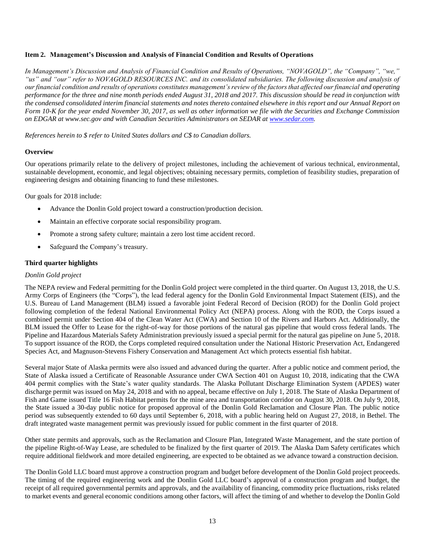# <span id="page-16-0"></span>**Item 2. Management's Discussion and Analysis of Financial Condition and Results of Operations**

*In Management's Discussion and Analysis of Financial Condition and Results of Operations, "NOVAGOLD", the "Company", "we," "us" and "our" refer to NOVAGOLD RESOURCES INC. and its consolidated subsidiaries. The following discussion and analysis of our financial condition and results of operations constitutes management's review of the factors that affected our financial and operating performance for the three and nine month periods ended August 31, 2018 and 2017. This discussion should be read in conjunction with the condensed consolidated interim financial statements and notes thereto contained elsewhere in this report and our Annual Report on Form 10-K for the year ended November 30, 2017, as well as other information we file with the Securities and Exchange Commission on EDGAR at www.sec.gov and with Canadian Securities Administrators on SEDAR at [www.sedar.com.](http://www.sedar.com/)*

*References herein to \$ refer to United States dollars and C\$ to Canadian dollars.*

### **Overview**

Our operations primarily relate to the delivery of project milestones, including the achievement of various technical, environmental, sustainable development, economic, and legal objectives; obtaining necessary permits, completion of feasibility studies, preparation of engineering designs and obtaining financing to fund these milestones.

Our goals for 2018 include:

- Advance the Donlin Gold project toward a construction/production decision.
- Maintain an effective corporate social responsibility program.
- Promote a strong safety culture; maintain a zero lost time accident record.
- Safeguard the Company's treasury.

### **Third quarter highlights**

#### *Donlin Gold project*

The NEPA review and Federal permitting for the Donlin Gold project were completed in the third quarter. On August 13, 2018, the U.S. Army Corps of Engineers (the "Corps"), the lead federal agency for the Donlin Gold Environmental Impact Statement (EIS), and the U.S. Bureau of Land Management (BLM) issued a favorable joint Federal Record of Decision (ROD) for the Donlin Gold project following completion of the federal National Environmental Policy Act (NEPA) process. Along with the ROD, the Corps issued a combined permit under Section 404 of the Clean Water Act (CWA) and Section 10 of the Rivers and Harbors Act. Additionally, the BLM issued the Offer to Lease for the right-of-way for those portions of the natural gas pipeline that would cross federal lands. The Pipeline and Hazardous Materials Safety Administration previously issued a special permit for the natural gas pipeline on June 5, 2018. To support issuance of the ROD, the Corps completed required consultation under the National Historic Preservation Act, Endangered Species Act, and Magnuson-Stevens Fishery Conservation and Management Act which protects essential fish habitat.

Several major State of Alaska permits were also issued and advanced during the quarter. After a public notice and comment period, the State of Alaska issued a Certificate of Reasonable Assurance under CWA Section 401 on August 10, 2018, indicating that the CWA 404 permit complies with the State's water quality standards. The Alaska Pollutant Discharge Elimination System (APDES) water discharge permit was issued on May 24, 2018 and with no appeal, became effective on July 1, 2018. The State of Alaska Department of Fish and Game issued Title 16 Fish Habitat permits for the mine area and transportation corridor on August 30, 2018. On July 9, 2018, the State issued a 30-day public notice for proposed approval of the Donlin Gold Reclamation and Closure Plan. The public notice period was subsequently extended to 60 days until September 6, 2018, with a public hearing held on August 27, 2018, in Bethel. The draft integrated waste management permit was previously issued for public comment in the first quarter of 2018.

Other state permits and approvals, such as the Reclamation and Closure Plan, Integrated Waste Management, and the state portion of the pipeline Right-of-Way Lease, are scheduled to be finalized by the first quarter of 2019. The Alaska Dam Safety certificates which require additional fieldwork and more detailed engineering, are expected to be obtained as we advance toward a construction decision.

The Donlin Gold LLC board must approve a construction program and budget before development of the Donlin Gold project proceeds. The timing of the required engineering work and the Donlin Gold LLC board's approval of a construction program and budget, the receipt of all required governmental permits and approvals, and the availability of financing, commodity price fluctuations, risks related to market events and general economic conditions among other factors, will affect the timing of and whether to develop the Donlin Gold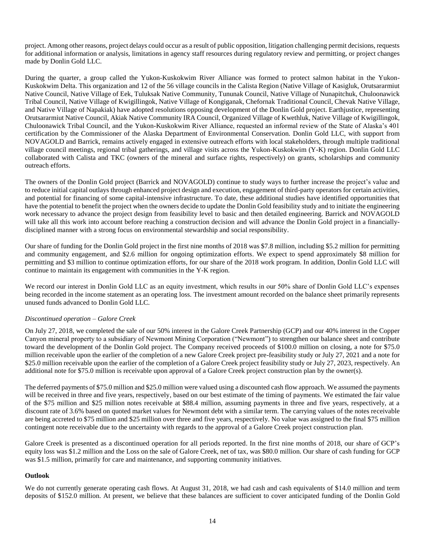project. Among other reasons, project delays could occur as a result of public opposition, litigation challenging permit decisions, requests for additional information or analysis, limitations in agency staff resources during regulatory review and permitting, or project changes made by Donlin Gold LLC.

During the quarter, a group called the Yukon-Kuskokwim River Alliance was formed to protect salmon habitat in the Yukon-Kuskokwim Delta. This organization and 12 of the 56 village councils in the Calista Region (Native Village of Kasigluk, Orutsararmiut Native Council, Native Village of Eek, Tuluksak Native Community, Tununak Council, Native Village of Nunapitchuk, Chuloonawick Tribal Council, Native Village of Kwigillingok, Native Village of Kongiganak, Chefornak Traditional Council, Chevak Native Village, and Native Village of Napakiak) have adopted resolutions opposing development of the Donlin Gold project. Earthjustice, representing Orutsararmiut Native Council, Akiak Native Community IRA Council, Organized Village of Kwethluk, Native Village of Kwigillingok, Chuloonawick Tribal Council, and the Yukon-Kuskokwim River Alliance, requested an informal review of the State of Alaska's 401 certification by the Commissioner of the Alaska Department of Environmental Conservation. Donlin Gold LLC, with support from NOVAGOLD and Barrick, remains actively engaged in extensive outreach efforts with local stakeholders, through multiple traditional village council meetings, regional tribal gatherings, and village visits across the Yukon-Kuskokwim (Y-K) region. Donlin Gold LLC collaborated with Calista and TKC (owners of the mineral and surface rights, respectively) on grants, scholarships and community outreach efforts.

The owners of the Donlin Gold project (Barrick and NOVAGOLD) continue to study ways to further increase the project's value and to reduce initial capital outlays through enhanced project design and execution, engagement of third-party operators for certain activities, and potential for financing of some capital-intensive infrastructure. To date, these additional studies have identified opportunities that have the potential to benefit the project when the owners decide to update the Donlin Gold feasibility study and to initiate the engineering work necessary to advance the project design from feasibility level to basic and then detailed engineering. Barrick and NOVAGOLD will take all this work into account before reaching a construction decision and will advance the Donlin Gold project in a financiallydisciplined manner with a strong focus on environmental stewardship and social responsibility.

Our share of funding for the Donlin Gold project in the first nine months of 2018 was \$7.8 million, including \$5.2 million for permitting and community engagement, and \$2.6 million for ongoing optimization efforts. We expect to spend approximately \$8 million for permitting and \$3 million to continue optimization efforts, for our share of the 2018 work program. In addition, Donlin Gold LLC will continue to maintain its engagement with communities in the Y-K region.

We record our interest in Donlin Gold LLC as an equity investment, which results in our 50% share of Donlin Gold LLC's expenses being recorded in the income statement as an operating loss. The investment amount recorded on the balance sheet primarily represents unused funds advanced to Donlin Gold LLC.

## *Discontinued operation – Galore Creek*

On July 27, 2018, we completed the sale of our 50% interest in the Galore Creek Partnership (GCP) and our 40% interest in the Copper Canyon mineral property to a subsidiary of Newmont Mining Corporation ("Newmont") to strengthen our balance sheet and contribute toward the development of the Donlin Gold project. The Company received proceeds of \$100.0 million on closing, a note for \$75.0 million receivable upon the earlier of the completion of a new Galore Creek project pre-feasibility study or July 27, 2021 and a note for \$25.0 million receivable upon the earlier of the completion of a Galore Creek project feasibility study or July 27, 2023, respectively. An additional note for \$75.0 million is receivable upon approval of a Galore Creek project construction plan by the owner(s).

The deferred payments of \$75.0 million and \$25.0 million were valued using a discounted cash flow approach. We assumed the payments will be received in three and five years, respectively, based on our best estimate of the timing of payments. We estimated the fair value of the \$75 million and \$25 million notes receivable at \$88.4 million, assuming payments in three and five years, respectively, at a discount rate of 3.6% based on quoted market values for Newmont debt with a similar term. The carrying values of the notes receivable are being accreted to \$75 million and \$25 million over three and five years, respectively. No value was assigned to the final \$75 million contingent note receivable due to the uncertainty with regards to the approval of a Galore Creek project construction plan.

Galore Creek is presented as a discontinued operation for all periods reported. In the first nine months of 2018, our share of GCP's equity loss was \$1.2 million and the Loss on the sale of Galore Creek, net of tax, was \$80.0 million. Our share of cash funding for GCP was \$1.5 million, primarily for care and maintenance, and supporting community initiatives.

## **Outlook**

We do not currently generate operating cash flows. At August 31, 2018, we had cash and cash equivalents of \$14.0 million and term deposits of \$152.0 million. At present, we believe that these balances are sufficient to cover anticipated funding of the Donlin Gold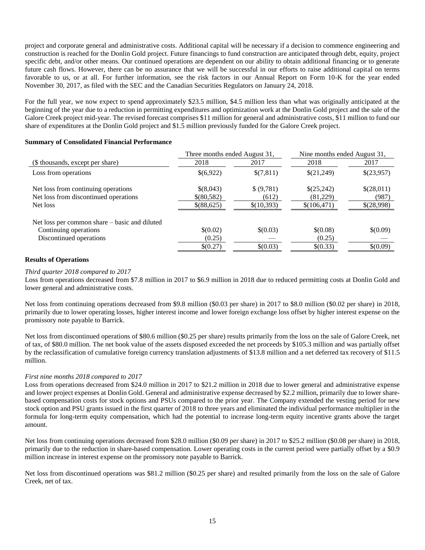project and corporate general and administrative costs. Additional capital will be necessary if a decision to commence engineering and construction is reached for the Donlin Gold project. Future financings to fund construction are anticipated through debt, equity, project specific debt, and/or other means. Our continued operations are dependent on our ability to obtain additional financing or to generate future cash flows. However, there can be no assurance that we will be successful in our efforts to raise additional capital on terms favorable to us, or at all. For further information, see the risk factors in our Annual Report on Form 10-K for the year ended November 30, 2017, as filed with the SEC and the Canadian Securities Regulators on January 24, 2018.

For the full year, we now expect to spend approximately \$23.5 million, \$4.5 million less than what was originally anticipated at the beginning of the year due to a reduction in permitting expenditures and optimization work at the Donlin Gold project and the sale of the Galore Creek project mid-year. The revised forecast comprises \$11 million for general and administrative costs, \$11 million to fund our share of expenditures at the Donlin Gold project and \$1.5 million previously funded for the Galore Creek project.

|                                               | Three months ended August 31, |            | Nine months ended August 31, |            |
|-----------------------------------------------|-------------------------------|------------|------------------------------|------------|
| (\$ thousands, except per share)              | 2018                          | 2017       | 2018                         | 2017       |
| Loss from operations                          | \$(6,922)                     | \$(7,811)  | \$(21,249)                   | \$(23,957) |
| Net loss from continuing operations           | \$(8,043)                     | \$ (9,781) | \$(25,242)                   | \$(28,011) |
| Net loss from discontinued operations         | \$(80,582)                    | (612)      | (81,229)                     | (987)      |
| Net loss                                      | \$(88,625)                    | \$(10,393) | \$(106,471)                  | \$(28,998) |
| Net loss per common share – basic and diluted |                               |            |                              |            |
| Continuing operations                         | \$(0.02)                      | \$(0.03)   | \$(0.08)                     | \$(0.09)   |
| Discontinued operations                       | (0.25)                        |            | (0.25)                       |            |
|                                               | \$(0.27)                      | \$(0.03)   | \$(0.33)                     | \$(0.09)   |

# **Summary of Consolidated Financial Performance**

# **Results of Operations**

#### *Third quarter 2018 compared to 2017*

Loss from operations decreased from \$7.8 million in 2017 to \$6.9 million in 2018 due to reduced permitting costs at Donlin Gold and lower general and administrative costs.

Net loss from continuing operations decreased from \$9.8 million (\$0.03 per share) in 2017 to \$8.0 million (\$0.02 per share) in 2018, primarily due to lower operating losses, higher interest income and lower foreign exchange loss offset by higher interest expense on the promissory note payable to Barrick.

Net loss from discontinued operations of \$80.6 million (\$0.25 per share) results primarily from the loss on the sale of Galore Creek, net of tax, of \$80.0 million. The net book value of the assets disposed exceeded the net proceeds by \$105.3 million and was partially offset by the reclassification of cumulative foreign currency translation adjustments of \$13.8 million and a net deferred tax recovery of \$11.5 million.

#### *First nine months 2018 compared to 2017*

Loss from operations decreased from \$24.0 million in 2017 to \$21.2 million in 2018 due to lower general and administrative expense and lower project expenses at Donlin Gold. General and administrative expense decreased by \$2.2 million, primarily due to lower sharebased compensation costs for stock options and PSUs compared to the prior year. The Company extended the vesting period for new stock option and PSU grants issued in the first quarter of 2018 to three years and eliminated the individual performance multiplier in the formula for long-term equity compensation, which had the potential to increase long-term equity incentive grants above the target amount.

Net loss from continuing operations decreased from \$28.0 million (\$0.09 per share) in 2017 to \$25.2 million (\$0.08 per share) in 2018, primarily due to the reduction in share-based compensation. Lower operating costs in the current period were partially offset by a \$0.9 million increase in interest expense on the promissory note payable to Barrick.

Net loss from discontinued operations was \$81.2 million (\$0.25 per share) and resulted primarily from the loss on the sale of Galore Creek, net of tax.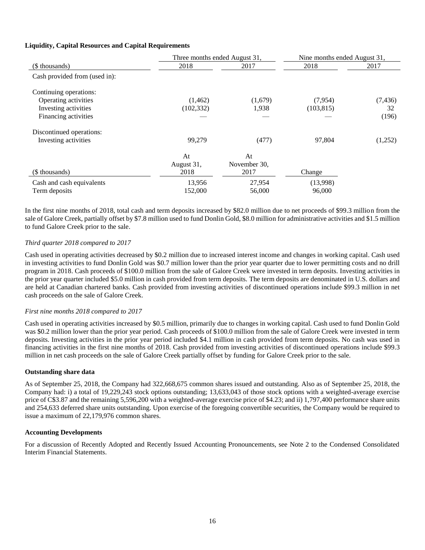# **Liquidity, Capital Resources and Capital Requirements**

|                               | Three months ended August 31, |              | Nine months ended August 31, |          |
|-------------------------------|-------------------------------|--------------|------------------------------|----------|
| (\$ thousands)                | 2018                          | 2017         | 2018                         | 2017     |
| Cash provided from (used in): |                               |              |                              |          |
| Continuing operations:        |                               |              |                              |          |
| Operating activities          | (1,462)                       | (1,679)      | (7,954)                      | (7, 436) |
| Investing activities          | (102, 332)                    | 1,938        | (103, 815)                   | 32       |
| Financing activities          |                               |              |                              | (196)    |
| Discontinued operations:      |                               |              |                              |          |
| Investing activities          | 99,279                        | (477)        | 97,804                       | (1,252)  |
|                               | At                            | At           |                              |          |
|                               | August 31,                    | November 30, |                              |          |
| (\$ thousands)                | 2018                          | 2017         | Change                       |          |
| Cash and cash equivalents     | 13,956                        | 27,954       | (13,998)                     |          |
| Term deposits                 | 152,000                       | 56,000       | 96,000                       |          |

In the first nine months of 2018, total cash and term deposits increased by \$82.0 million due to net proceeds of \$99.3 million from the sale of Galore Creek, partially offset by \$7.8 million used to fund Donlin Gold, \$8.0 million for administrative activities and \$1.5 million to fund Galore Creek prior to the sale.

## *Third quarter 2018 compared to 2017*

Cash used in operating activities decreased by \$0.2 million due to increased interest income and changes in working capital. Cash used in investing activities to fund Donlin Gold was \$0.7 million lower than the prior year quarter due to lower permitting costs and no drill program in 2018. Cash proceeds of \$100.0 million from the sale of Galore Creek were invested in term deposits. Investing activities in the prior year quarter included \$5.0 million in cash provided from term deposits. The term deposits are denominated in U.S. dollars and are held at Canadian chartered banks. Cash provided from investing activities of discontinued operations include \$99.3 million in net cash proceeds on the sale of Galore Creek.

## *First nine months 2018 compared to 2017*

Cash used in operating activities increased by \$0.5 million, primarily due to changes in working capital. Cash used to fund Donlin Gold was \$0.2 million lower than the prior year period. Cash proceeds of \$100.0 million from the sale of Galore Creek were invested in term deposits. Investing activities in the prior year period included \$4.1 million in cash provided from term deposits. No cash was used in financing activities in the first nine months of 2018. Cash provided from investing activities of discontinued operations include \$99.3 million in net cash proceeds on the sale of Galore Creek partially offset by funding for Galore Creek prior to the sale.

#### **Outstanding share data**

As of September 25, 2018, the Company had 322,668,675 common shares issued and outstanding. Also as of September 25, 2018, the Company had: i) a total of 19,229,243 stock options outstanding; 13,633,043 of those stock options with a weighted-average exercise price of C\$3.87 and the remaining 5,596,200 with a weighted-average exercise price of \$4.23; and ii) 1,797,400 performance share units and 254,633 deferred share units outstanding. Upon exercise of the foregoing convertible securities, the Company would be required to issue a maximum of 22,179,976 common shares.

#### **Accounting Developments**

For a discussion of Recently Adopted and Recently Issued Accounting Pronouncements, see Note 2 to the Condensed Consolidated Interim Financial Statements.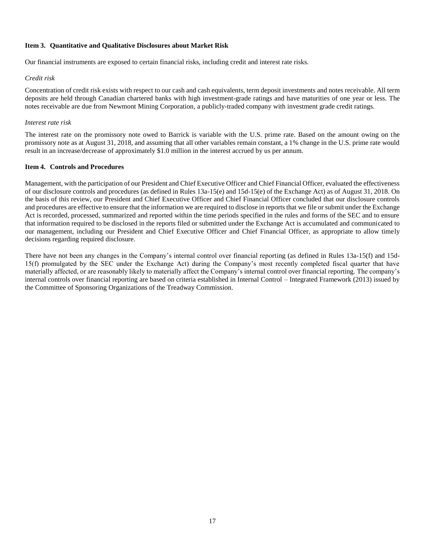### <span id="page-20-0"></span>**Item 3. Quantitative and Qualitative Disclosures about Market Risk**

Our financial instruments are exposed to certain financial risks, including credit and interest rate risks.

#### *Credit risk*

Concentration of credit risk exists with respect to our cash and cash equivalents, term deposit investments and notes receivable. All term deposits are held through Canadian chartered banks with high investment-grade ratings and have maturities of one year or less. The notes receivable are due from Newmont Mining Corporation, a publicly-traded company with investment grade credit ratings.

#### *Interest rate risk*

The interest rate on the promissory note owed to Barrick is variable with the U.S. prime rate. Based on the amount owing on the promissory note as at August 31, 2018, and assuming that all other variables remain constant, a 1% change in the U.S. prime rate would result in an increase/decrease of approximately \$1.0 million in the interest accrued by us per annum.

#### <span id="page-20-1"></span>**Item 4. Controls and Procedures**

Management, with the participation of our President and Chief Executive Officer and Chief Financial Officer, evaluated the effectiveness of our disclosure controls and procedures (as defined in Rules 13a-15(e) and 15d-15(e) of the Exchange Act) as of August 31, 2018. On the basis of this review, our President and Chief Executive Officer and Chief Financial Officer concluded that our disclosure controls and procedures are effective to ensure that the information we are required to disclose in reports that we file or submit under the Exchange Act is recorded, processed, summarized and reported within the time periods specified in the rules and forms of the SEC and to ensure that information required to be disclosed in the reports filed or submitted under the Exchange Act is accumulated and communicated to our management, including our President and Chief Executive Officer and Chief Financial Officer, as appropriate to allow timely decisions regarding required disclosure.

There have not been any changes in the Company's internal control over financial reporting (as defined in Rules 13a-15(f) and 15d-15(f) promulgated by the SEC under the Exchange Act) during the Company's most recently completed fiscal quarter that have materially affected, or are reasonably likely to materially affect the Company's internal control over financial reporting. The company's internal controls over financial reporting are based on criteria established in Internal Control – Integrated Framework (2013) issued by the Committee of Sponsoring Organizations of the Treadway Commission.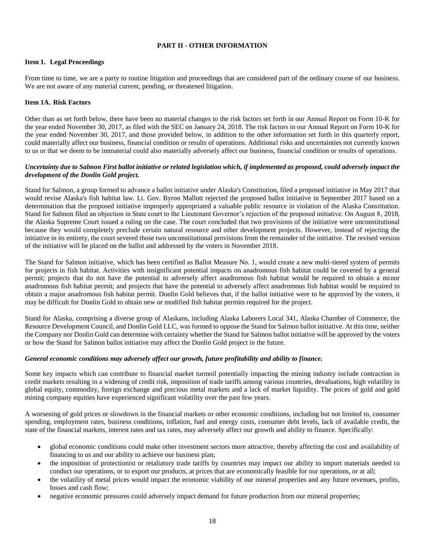### <span id="page-21-0"></span>**PART II - OTHER INFORMATION**

### <span id="page-21-1"></span>**Item 1. Legal Proceedings**

From time to time, we are a party to routine litigation and proceedings that are considered part of the ordinary course of our business. We are not aware of any material current, pending, or threatened litigation.

### <span id="page-21-2"></span>**Item 1A. Risk Factors**

Other than as set forth below, there have been no material changes to the risk factors set forth in our Annual Report on Form 10-K for the year ended November 30, 2017, as filed with the SEC on January 24, 2018. The risk factors in our Annual Report on Form 10-K for the year ended November 30, 2017, and those provided below, in addition to the other information set forth in this quarterly report, could materially affect our business, financial condition or results of operations. Additional risks and uncertainties not currently known to us or that we deem to be immaterial could also materially adversely affect our business, financial condition or results of operations.

### *Uncertainty due to Salmon First ballot initiative or related legislation which, if implemented as proposed, could adversely impact the development of the Donlin Gold project.*

Stand for Salmon, a group formed to advance a ballot initiative under Alaska's Constitution, filed a proposed initiative in May 2017 that would revise Alaska's fish habitat law. Lt. Gov. Byron Mallott rejected the proposed ballot initiative in September 2017 based on a determination that the proposed initiative improperly appropriated a valuable public resource in violation of the Alaska Constitution. Stand for Salmon filed an objection in State court to the Lieutenant Governor's rejection of the proposed initiative. On August 8, 2018, the Alaska Supreme Court issued a ruling on the case. The court concluded that two provisions of the initiative were unconstitutional because they would completely preclude certain natural resource and other development projects. However, instead of rejecting the initiative in its entirety, the court severed those two unconstitutional provisions from the remainder of the initiative. The revised version of the initiative will be placed on the ballot and addressed by the voters in November 2018.

The Stand for Salmon initiative, which has been certified as Ballot Measure No. 1, would create a new multi-tiered system of permits for projects in fish habitat. Activities with insignificant potential impacts on anadromous fish habitat could be covered by a general permit; projects that do not have the potential to adversely affect anadromous fish habitat would be required to obtain a minor anadromous fish habitat permit; and projects that have the potential to adversely affect anadromous fish habitat would be required to obtain a major anadromous fish habitat permit. Donlin Gold believes that, if the ballot initiative were to be approved by the voters, it may be difficult for Donlin Gold to obtain new or modified fish habitat permits required for the project.

Stand for Alaska, comprising a diverse group of Alaskans, including Alaska Laborers Local 341, Alaska Chamber of Commerce, the Resource Development Council, and Donlin Gold LLC, was formed to oppose the Stand for Salmon ballot initiative. At this time, neither the Company nor Donlin Gold can determine with certainty whether the Stand for Salmon ballot initiative will be approved by the voters or how the Stand for Salmon ballot initiative may affect the Donlin Gold project in the future.

#### *General economic conditions may adversely affect our growth, future profitability and ability to finance.*

Some key impacts which can contribute to financial market turmoil potentially impacting the mining industry include contraction in credit markets resulting in a widening of credit risk, imposition of trade tariffs among various countries, devaluations, high volatility in global equity, commodity, foreign exchange and precious metal markets and a lack of market liquidity. The prices of gold and gold mining company equities have experienced significant volatility over the past few years.

A worsening of gold prices or slowdown in the financial markets or other economic conditions, including but not limited to, consumer spending, employment rates, business conditions, inflation, fuel and energy costs, consumer debt levels, lack of available credit, the state of the financial markets, interest rates and tax rates, may adversely affect our growth and ability to finance. Specifically:

- global economic conditions could make other investment sectors more attractive, thereby affecting the cost and availability of financing to us and our ability to achieve our business plan;
- the imposition of protectionist or retaliatory trade tariffs by countries may impact our ability to import materials needed to conduct our operations, or to export our products, at prices that are economically feasible for our operations, or at all;
- the volatility of metal prices would impact the economic viability of our mineral properties and any future revenues, profits, losses and cash flow;
- negative economic pressures could adversely impact demand for future production from our mineral properties;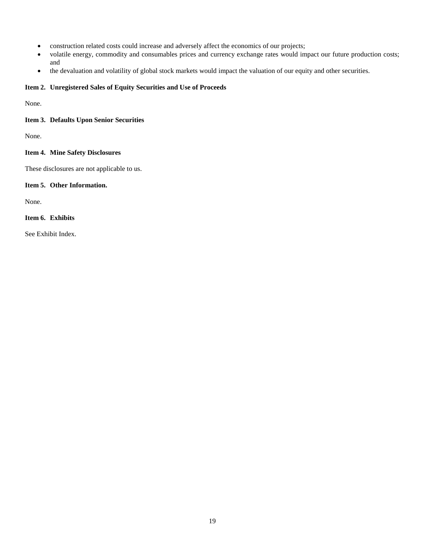- construction related costs could increase and adversely affect the economics of our projects;
- volatile energy, commodity and consumables prices and currency exchange rates would impact our future production costs; and
- the devaluation and volatility of global stock markets would impact the valuation of our equity and other securities.

### <span id="page-22-0"></span>**Item 2. Unregistered Sales of Equity Securities and Use of Proceeds**

None.

## <span id="page-22-1"></span>**Item 3. Defaults Upon Senior Securities**

None.

# <span id="page-22-2"></span>**Item 4. Mine Safety Disclosures**

These disclosures are not applicable to us.

## <span id="page-22-3"></span>**Item 5. Other Information.**

None.

# <span id="page-22-4"></span>**Item 6. Exhibits**

See Exhibit Index.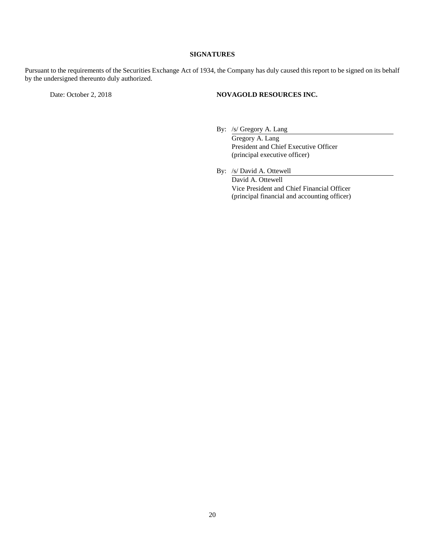# **SIGNATURES**

Pursuant to the requirements of the Securities Exchange Act of 1934, the Company has duly caused this report to be signed on its behalf by the undersigned thereunto duly authorized.

### Date: October 2, 2018 **NOVAGOLD RESOURCES INC.**

- By: /s/ Gregory A. Lang Gregory A. Lang President and Chief Executive Officer (principal executive officer)
- By: /s/ David A. Ottewell David A. Ottewell Vice President and Chief Financial Officer (principal financial and accounting officer)